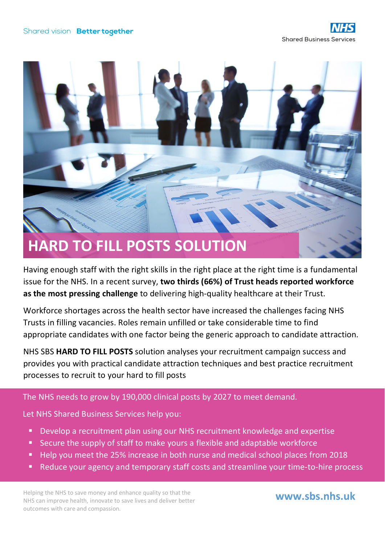

Having enough staff with the right skills in the right place at the right time is a fundamental issue for the NHS. In a recent survey, **two thirds (66%) of Trust heads reported workforce as the most pressing challenge** to delivering high-quality healthcare at their Trust.

Workforce shortages across the health sector have increased the challenges facing NHS Trusts in filling vacancies. Roles remain unfilled or take considerable time to find appropriate candidates with one factor being the generic approach to candidate attraction.

NHS SBS **HARD TO FILL POSTS** solution analyses your recruitment campaign success and provides you with practical candidate attraction techniques and best practice recruitment processes to recruit to your hard to fill posts

## The NHS needs to grow by 190,000 clinical posts by 2027 to meet demand.

Let NHS Shared Business Services help you:

- Develop a recruitment plan using our NHS recruitment knowledge and expertise
- Secure the supply of staff to make yours a flexible and adaptable workforce
- Help you meet the 25% increase in both nurse and medical school places from 2018
- Reduce your agency and temporary staff costs and streamline your time-to-hire process

Helping the NHS to save money and enhance quality so that the NHS can improve health, innovate to save lives and deliver better outcomes with care and compassion.

**www.sbs.nhs.uk**